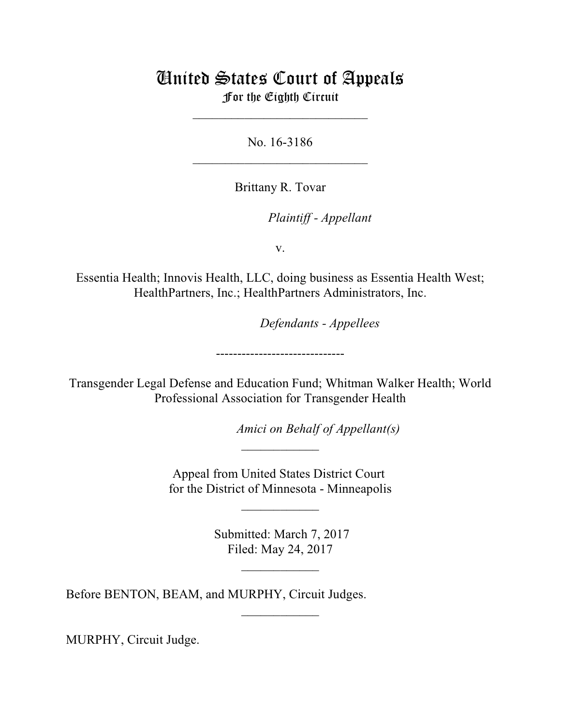# United States Court of Appeals For the Eighth Circuit

\_\_\_\_\_\_\_\_\_\_\_\_\_\_\_\_\_\_\_\_\_\_\_\_\_\_\_

No. 16-3186  $\mathcal{L}_\text{max}$  , which is a set of the set of the set of the set of the set of the set of the set of the set of the set of the set of the set of the set of the set of the set of the set of the set of the set of the set of

Brittany R. Tovar

lllllllllllllllllllll *Plaintiff - Appellant*

v.

Essentia Health; Innovis Health, LLC, doing business as Essentia Health West; HealthPartners, Inc.; HealthPartners Administrators, Inc.

**Defendants - Appellees** 

------------------------------

Transgender Legal Defense and Education Fund; Whitman Walker Health; World Professional Association for Transgender Health

*Amici on Behalf of Appellant(s)* 

Appeal from United States District Court for the District of Minnesota - Minneapolis

 $\frac{1}{2}$ 

 $\frac{1}{2}$ 

 Submitted: March 7, 2017 Filed: May 24, 2017

 $\overline{\phantom{a}}$  , where  $\overline{\phantom{a}}$ 

 $\frac{1}{2}$ 

Before BENTON, BEAM, and MURPHY, Circuit Judges.

MURPHY, Circuit Judge.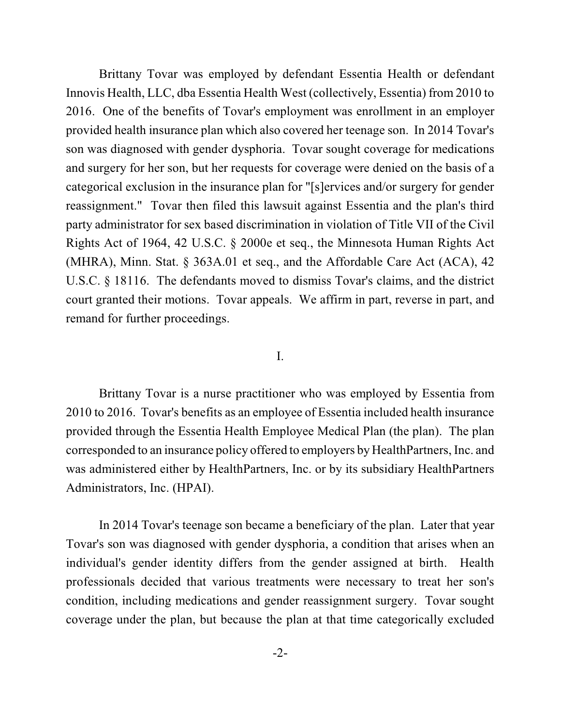Brittany Tovar was employed by defendant Essentia Health or defendant Innovis Health, LLC, dba Essentia Health West (collectively, Essentia) from 2010 to 2016. One of the benefits of Tovar's employment was enrollment in an employer provided health insurance plan which also covered her teenage son. In 2014 Tovar's son was diagnosed with gender dysphoria. Tovar sought coverage for medications and surgery for her son, but her requests for coverage were denied on the basis of a categorical exclusion in the insurance plan for "[s]ervices and/or surgery for gender reassignment." Tovar then filed this lawsuit against Essentia and the plan's third party administrator for sex based discrimination in violation of Title VII of the Civil Rights Act of 1964, 42 U.S.C. § 2000e et seq., the Minnesota Human Rights Act (MHRA), Minn. Stat. § 363A.01 et seq., and the Affordable Care Act (ACA), 42 U.S.C. § 18116. The defendants moved to dismiss Tovar's claims, and the district court granted their motions. Tovar appeals. We affirm in part, reverse in part, and remand for further proceedings.

### I.

Brittany Tovar is a nurse practitioner who was employed by Essentia from 2010 to 2016. Tovar's benefits as an employee of Essentia included health insurance provided through the Essentia Health Employee Medical Plan (the plan). The plan corresponded to an insurance policy offered to employers by HealthPartners, Inc. and was administered either by HealthPartners, Inc. or by its subsidiary HealthPartners Administrators, Inc. (HPAI).

In 2014 Tovar's teenage son became a beneficiary of the plan. Later that year Tovar's son was diagnosed with gender dysphoria, a condition that arises when an individual's gender identity differs from the gender assigned at birth. Health professionals decided that various treatments were necessary to treat her son's condition, including medications and gender reassignment surgery. Tovar sought coverage under the plan, but because the plan at that time categorically excluded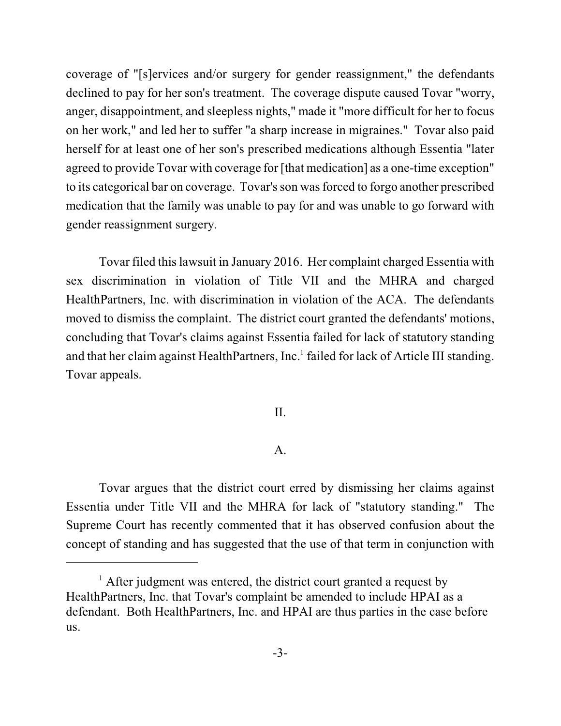coverage of "[s]ervices and/or surgery for gender reassignment," the defendants declined to pay for her son's treatment. The coverage dispute caused Tovar "worry, anger, disappointment, and sleepless nights," made it "more difficult for her to focus on her work," and led her to suffer "a sharp increase in migraines." Tovar also paid herself for at least one of her son's prescribed medications although Essentia "later agreed to provide Tovar with coverage for [that medication] as a one-time exception" to its categorical bar on coverage. Tovar's son was forced to forgo another prescribed medication that the family was unable to pay for and was unable to go forward with gender reassignment surgery.

Tovar filed thislawsuit in January 2016. Her complaint charged Essentia with sex discrimination in violation of Title VII and the MHRA and charged HealthPartners, Inc. with discrimination in violation of the ACA. The defendants moved to dismiss the complaint. The district court granted the defendants' motions, concluding that Tovar's claims against Essentia failed for lack of statutory standing and that her claim against HealthPartners, Inc.<sup>1</sup> failed for lack of Article III standing. Tovar appeals.

II.

## A.

Tovar argues that the district court erred by dismissing her claims against Essentia under Title VII and the MHRA for lack of "statutory standing." The Supreme Court has recently commented that it has observed confusion about the concept of standing and has suggested that the use of that term in conjunction with

 $<sup>1</sup>$  After judgment was entered, the district court granted a request by</sup> HealthPartners, Inc. that Tovar's complaint be amended to include HPAI as a defendant. Both HealthPartners, Inc. and HPAI are thus parties in the case before us.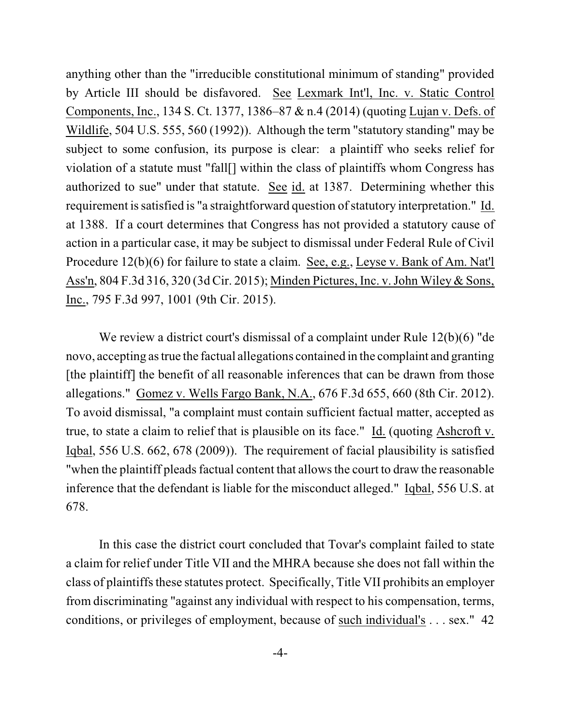anything other than the "irreducible constitutional minimum of standing" provided by Article III should be disfavored. See Lexmark Int'l, Inc. v. Static Control Components, Inc., 134 S. Ct. 1377, 1386–87 & n.4 (2014) (quoting Lujan v. Defs. of Wildlife, 504 U.S. 555, 560 (1992)). Although the term "statutory standing" may be subject to some confusion, its purpose is clear: a plaintiff who seeks relief for violation of a statute must "fall[] within the class of plaintiffs whom Congress has authorized to sue" under that statute. See id. at 1387. Determining whether this requirement is satisfied is "a straightforward question of statutory interpretation." Id. at 1388. If a court determines that Congress has not provided a statutory cause of action in a particular case, it may be subject to dismissal under Federal Rule of Civil Procedure 12(b)(6) for failure to state a claim. See, e.g., Leyse v. Bank of Am. Nat'l Ass'n, 804 F.3d 316, 320 (3d Cir. 2015); Minden Pictures, Inc. v. John Wiley & Sons, Inc., 795 F.3d 997, 1001 (9th Cir. 2015).

We review a district court's dismissal of a complaint under Rule 12(b)(6) "de novo, accepting astrue the factual allegations contained in the complaint and granting [the plaintiff] the benefit of all reasonable inferences that can be drawn from those allegations." Gomez v. Wells Fargo Bank, N.A., 676 F.3d 655, 660 (8th Cir. 2012). To avoid dismissal, "a complaint must contain sufficient factual matter, accepted as true, to state a claim to relief that is plausible on its face." Id. (quoting Ashcroft v. Iqbal, 556 U.S. 662, 678 (2009)). The requirement of facial plausibility is satisfied "when the plaintiff pleads factual content that allows the court to draw the reasonable inference that the defendant is liable for the misconduct alleged." Iqbal, 556 U.S. at 678.

In this case the district court concluded that Tovar's complaint failed to state a claim for relief under Title VII and the MHRA because she does not fall within the class of plaintiffs these statutes protect. Specifically, Title VII prohibits an employer from discriminating "against any individual with respect to his compensation, terms, conditions, or privileges of employment, because of such individual's . . . sex." 42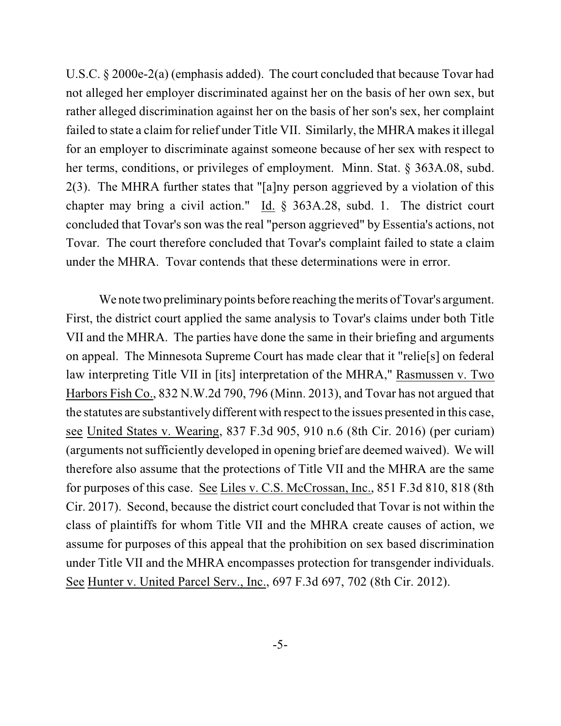U.S.C. § 2000e-2(a) (emphasis added). The court concluded that because Tovar had not alleged her employer discriminated against her on the basis of her own sex, but rather alleged discrimination against her on the basis of her son's sex, her complaint failed to state a claim for relief under Title VII. Similarly, the MHRA makesit illegal for an employer to discriminate against someone because of her sex with respect to her terms, conditions, or privileges of employment. Minn. Stat. § 363A.08, subd. 2(3). The MHRA further states that "[a]ny person aggrieved by a violation of this chapter may bring a civil action." Id. § 363A.28, subd. 1. The district court concluded that Tovar's son wasthe real "person aggrieved" by Essentia's actions, not Tovar. The court therefore concluded that Tovar's complaint failed to state a claim under the MHRA. Tovar contends that these determinations were in error.

We note two preliminary points before reaching the merits of Tovar's argument. First, the district court applied the same analysis to Tovar's claims under both Title VII and the MHRA. The parties have done the same in their briefing and arguments on appeal. The Minnesota Supreme Court has made clear that it "relie[s] on federal law interpreting Title VII in [its] interpretation of the MHRA," Rasmussen v. Two Harbors Fish Co., 832 N.W.2d 790, 796 (Minn. 2013), and Tovar has not argued that the statutes are substantively different with respect to the issues presented in this case, see United States v. Wearing, 837 F.3d 905, 910 n.6 (8th Cir. 2016) (per curiam) (arguments not sufficiently developed in opening brief are deemed waived). We will therefore also assume that the protections of Title VII and the MHRA are the same for purposes of this case. See Liles v. C.S. McCrossan, Inc., 851 F.3d 810, 818 (8th Cir. 2017). Second, because the district court concluded that Tovar is not within the class of plaintiffs for whom Title VII and the MHRA create causes of action, we assume for purposes of this appeal that the prohibition on sex based discrimination under Title VII and the MHRA encompasses protection for transgender individuals. See Hunter v. United Parcel Serv., Inc., 697 F.3d 697, 702 (8th Cir. 2012).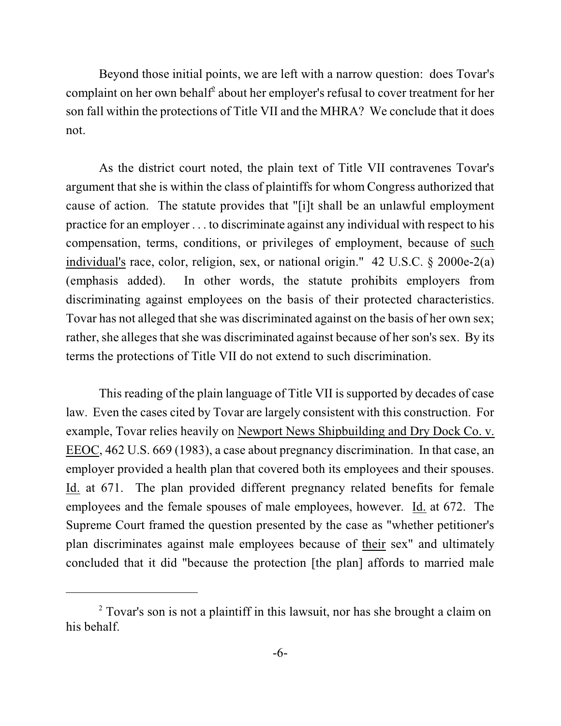Beyond those initial points, we are left with a narrow question: does Tovar's complaint on her own behalf $\epsilon$  about her employer's refusal to cover treatment for her son fall within the protections of Title VII and the MHRA? We conclude that it does not.

As the district court noted, the plain text of Title VII contravenes Tovar's argument that she is within the class of plaintiffs for whom Congress authorized that cause of action. The statute provides that "[i]t shall be an unlawful employment practice for an employer . . . to discriminate against any individual with respect to his compensation, terms, conditions, or privileges of employment, because of such individual's race, color, religion, sex, or national origin." 42 U.S.C. § 2000e-2(a) (emphasis added). In other words, the statute prohibits employers from discriminating against employees on the basis of their protected characteristics. Tovar has not alleged that she was discriminated against on the basis of her own sex; rather, she alleges that she was discriminated against because of her son's sex. By its terms the protections of Title VII do not extend to such discrimination.

This reading of the plain language of Title VII is supported by decades of case law. Even the cases cited by Tovar are largely consistent with this construction. For example, Tovar relies heavily on Newport News Shipbuilding and Dry Dock Co. v. EEOC, 462 U.S. 669 (1983), a case about pregnancy discrimination. In that case, an employer provided a health plan that covered both its employees and their spouses. Id. at 671. The plan provided different pregnancy related benefits for female employees and the female spouses of male employees, however. Id. at 672. The Supreme Court framed the question presented by the case as "whether petitioner's plan discriminates against male employees because of their sex" and ultimately concluded that it did "because the protection [the plan] affords to married male

<sup>&</sup>lt;sup>2</sup> Tovar's son is not a plaintiff in this lawsuit, nor has she brought a claim on his behalf.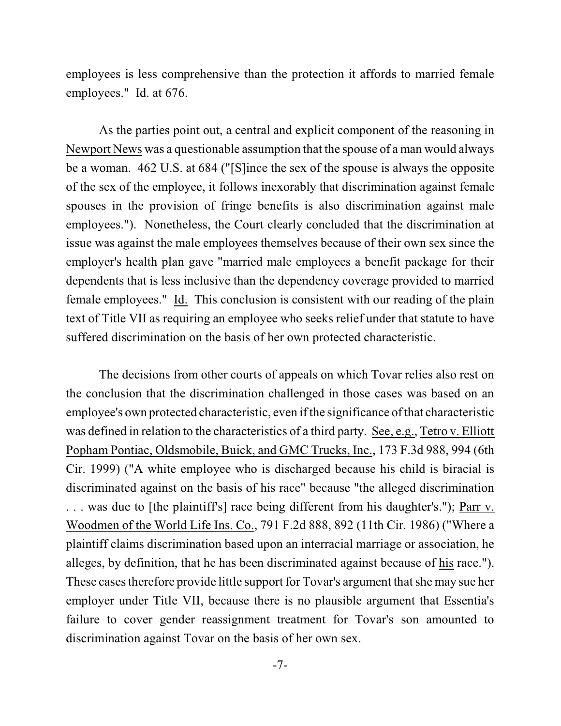employees is less comprehensive than the protection it affords to married female employees." Id. at 676.

As the parties point out, a central and explicit component of the reasoning in Newport News was a questionable assumption that the spouse of a man would always be a woman. 462 U.S. at 684 ("[S]ince the sex of the spouse is always the opposite of the sex of the employee, it follows inexorably that discrimination against female spouses in the provision of fringe benefits is also discrimination against male employees."). Nonetheless, the Court clearly concluded that the discrimination at issue was against the male employees themselves because of their own sex since the employer's health plan gave "married male employees a benefit package for their dependents that is less inclusive than the dependency coverage provided to married female employees." Id. This conclusion is consistent with our reading of the plain text of Title VII as requiring an employee who seeks relief under that statute to have suffered discrimination on the basis of her own protected characteristic.

The decisions from other courts of appeals on which Tovar relies also rest on the conclusion that the discrimination challenged in those cases was based on an employee's own protected characteristic, even if the significance ofthat characteristic was defined in relation to the characteristics of a third party. See, e.g., Tetro v. Elliott Popham Pontiac, Oldsmobile, Buick, and GMC Trucks, Inc., 173 F.3d 988, 994 (6th Cir. 1999) ("A white employee who is discharged because his child is biracial is discriminated against on the basis of his race" because "the alleged discrimination . . . was due to [the plaintiff's] race being different from his daughter's."); Parr v. Woodmen of the World Life Ins. Co., 791 F.2d 888, 892 (11th Cir. 1986) ("Where a plaintiff claims discrimination based upon an interracial marriage or association, he alleges, by definition, that he has been discriminated against because of his race."). These cases therefore provide little support for Tovar's argument that she may sue her employer under Title VII, because there is no plausible argument that Essentia's failure to cover gender reassignment treatment for Tovar's son amounted to discrimination against Tovar on the basis of her own sex.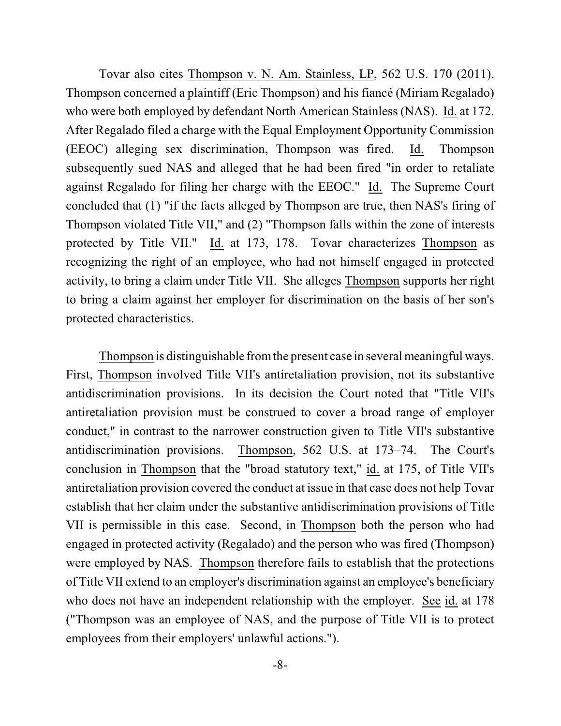Tovar also cites Thompson v. N. Am. Stainless, LP, 562 U.S. 170 (2011). Thompson concerned a plaintiff (Eric Thompson) and his fiancé (Miriam Regalado) who were both employed by defendant North American Stainless (NAS). Id. at 172. After Regalado filed a charge with the Equal Employment Opportunity Commission (EEOC) alleging sex discrimination, Thompson was fired. Id. Thompson subsequently sued NAS and alleged that he had been fired "in order to retaliate against Regalado for filing her charge with the EEOC." Id. The Supreme Court concluded that (1) "if the facts alleged by Thompson are true, then NAS's firing of Thompson violated Title VII," and (2) "Thompson falls within the zone of interests protected by Title VII." Id. at 173, 178. Tovar characterizes Thompson as recognizing the right of an employee, who had not himself engaged in protected activity, to bring a claim under Title VII. She alleges Thompson supports her right to bring a claim against her employer for discrimination on the basis of her son's protected characteristics.

Thompson is distinguishable from the present case in several meaningful ways. First, Thompson involved Title VII's antiretaliation provision, not its substantive antidiscrimination provisions. In its decision the Court noted that "Title VII's antiretaliation provision must be construed to cover a broad range of employer conduct," in contrast to the narrower construction given to Title VII's substantive antidiscrimination provisions. Thompson, 562 U.S. at 173–74. The Court's conclusion in Thompson that the "broad statutory text," id. at 175, of Title VII's antiretaliation provision covered the conduct at issue in that case does not help Tovar establish that her claim under the substantive antidiscrimination provisions of Title VII is permissible in this case. Second, in Thompson both the person who had engaged in protected activity (Regalado) and the person who was fired (Thompson) were employed by NAS. Thompson therefore fails to establish that the protections of Title VII extend to an employer's discrimination against an employee's beneficiary who does not have an independent relationship with the employer. See id. at 178 ("Thompson was an employee of NAS, and the purpose of Title VII is to protect employees from their employers' unlawful actions.").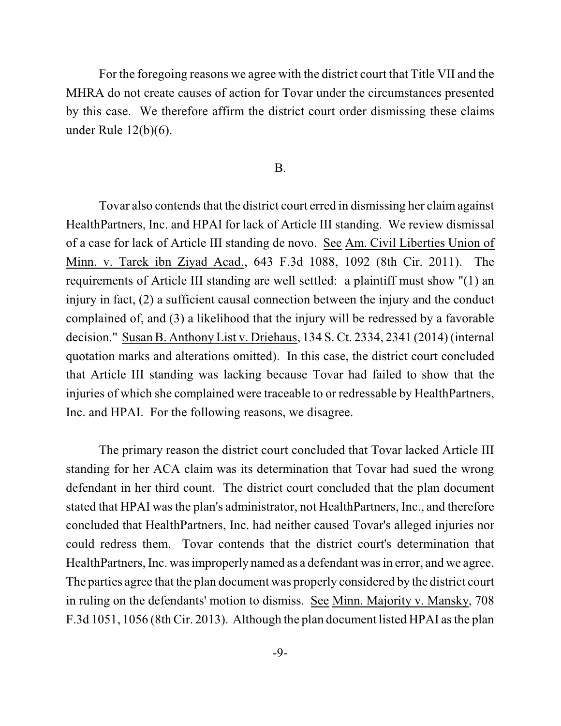For the foregoing reasons we agree with the district court that Title VII and the MHRA do not create causes of action for Tovar under the circumstances presented by this case. We therefore affirm the district court order dismissing these claims under Rule 12(b)(6).

#### B.

Tovar also contends that the district court erred in dismissing her claim against HealthPartners, Inc. and HPAI for lack of Article III standing. We review dismissal of a case for lack of Article III standing de novo. See Am. Civil Liberties Union of Minn. v. Tarek ibn Ziyad Acad., 643 F.3d 1088, 1092 (8th Cir. 2011). The requirements of Article III standing are well settled: a plaintiff must show "(1) an injury in fact, (2) a sufficient causal connection between the injury and the conduct complained of, and (3) a likelihood that the injury will be redressed by a favorable decision." Susan B. Anthony List v. Driehaus, 134 S. Ct. 2334, 2341 (2014) (internal quotation marks and alterations omitted). In this case, the district court concluded that Article III standing was lacking because Tovar had failed to show that the injuries of which she complained were traceable to or redressable by HealthPartners, Inc. and HPAI. For the following reasons, we disagree.

The primary reason the district court concluded that Tovar lacked Article III standing for her ACA claim was its determination that Tovar had sued the wrong defendant in her third count. The district court concluded that the plan document stated that HPAI was the plan's administrator, not HealthPartners, Inc., and therefore concluded that HealthPartners, Inc. had neither caused Tovar's alleged injuries nor could redress them. Tovar contends that the district court's determination that HealthPartners, Inc. was improperly named as a defendant was in error, and we agree. The parties agree that the plan document was properly considered by the district court in ruling on the defendants' motion to dismiss. See Minn. Majority v. Mansky, 708 F.3d 1051, 1056 (8th Cir. 2013). Although the plan document listed HPAI asthe plan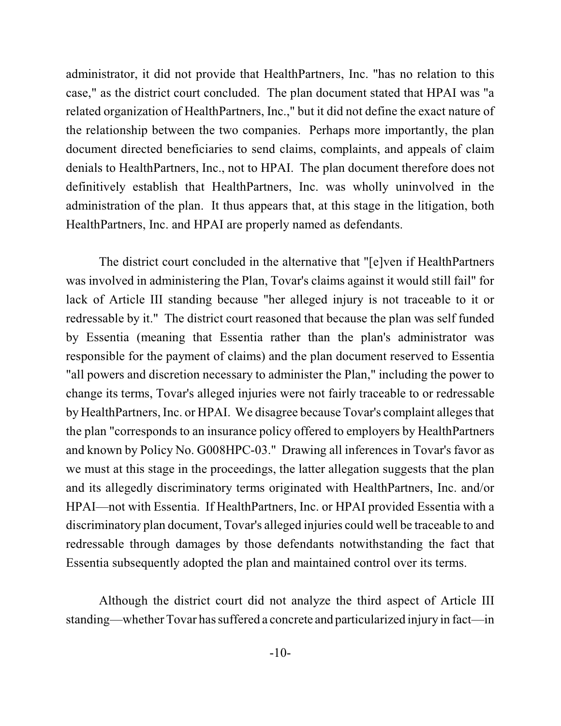administrator, it did not provide that HealthPartners, Inc. "has no relation to this case," as the district court concluded. The plan document stated that HPAI was "a related organization of HealthPartners, Inc.," but it did not define the exact nature of the relationship between the two companies. Perhaps more importantly, the plan document directed beneficiaries to send claims, complaints, and appeals of claim denials to HealthPartners, Inc., not to HPAI. The plan document therefore does not definitively establish that HealthPartners, Inc. was wholly uninvolved in the administration of the plan. It thus appears that, at this stage in the litigation, both HealthPartners, Inc. and HPAI are properly named as defendants.

The district court concluded in the alternative that "[e]ven if HealthPartners was involved in administering the Plan, Tovar's claims against it would still fail" for lack of Article III standing because "her alleged injury is not traceable to it or redressable by it." The district court reasoned that because the plan was self funded by Essentia (meaning that Essentia rather than the plan's administrator was responsible for the payment of claims) and the plan document reserved to Essentia "all powers and discretion necessary to administer the Plan," including the power to change its terms, Tovar's alleged injuries were not fairly traceable to or redressable by HealthPartners, Inc. or HPAI. We disagree because Tovar's complaint alleges that the plan "corresponds to an insurance policy offered to employers by HealthPartners and known by Policy No. G008HPC-03." Drawing all inferences in Tovar's favor as we must at this stage in the proceedings, the latter allegation suggests that the plan and its allegedly discriminatory terms originated with HealthPartners, Inc. and/or HPAI—not with Essentia. If HealthPartners, Inc. or HPAI provided Essentia with a discriminatory plan document, Tovar's alleged injuries could well be traceable to and redressable through damages by those defendants notwithstanding the fact that Essentia subsequently adopted the plan and maintained control over its terms.

Although the district court did not analyze the third aspect of Article III standing—whether Tovar has suffered a concrete and particularized injury in fact—in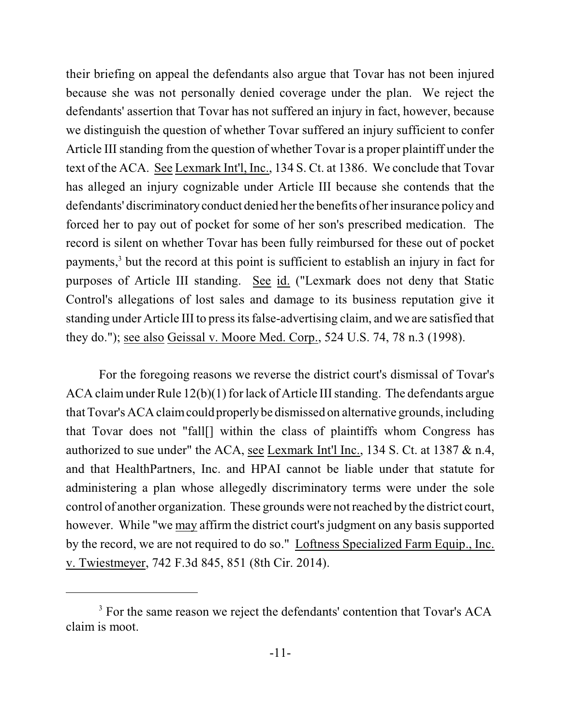their briefing on appeal the defendants also argue that Tovar has not been injured because she was not personally denied coverage under the plan. We reject the defendants' assertion that Tovar has not suffered an injury in fact, however, because we distinguish the question of whether Tovar suffered an injury sufficient to confer Article III standing from the question of whether Tovar is a proper plaintiff under the text of the ACA. See Lexmark Int'l, Inc., 134 S. Ct. at 1386. We conclude that Tovar has alleged an injury cognizable under Article III because she contends that the defendants' discriminatory conduct denied her the benefits of her insurance policy and forced her to pay out of pocket for some of her son's prescribed medication. The record is silent on whether Tovar has been fully reimbursed for these out of pocket payments,<sup>3</sup> but the record at this point is sufficient to establish an injury in fact for purposes of Article III standing. See id. ("Lexmark does not deny that Static Control's allegations of lost sales and damage to its business reputation give it standing under Article III to press its false-advertising claim, and we are satisfied that they do."); see also Geissal v. Moore Med. Corp., 524 U.S. 74, 78 n.3 (1998).

For the foregoing reasons we reverse the district court's dismissal of Tovar's ACA claimunder Rule 12(b)(1) for lack of Article III standing. The defendants argue that Tovar's ACA claimcould properly be dismissed on alternative grounds, including that Tovar does not "fall[] within the class of plaintiffs whom Congress has authorized to sue under" the ACA, see Lexmark Int'l Inc., 134 S. Ct. at 1387 & n.4, and that HealthPartners, Inc. and HPAI cannot be liable under that statute for administering a plan whose allegedly discriminatory terms were under the sole control of another organization. These grounds were not reached by the district court, however. While "we may affirm the district court's judgment on any basis supported by the record, we are not required to do so." Loftness Specialized Farm Equip., Inc. v. Twiestmeyer, 742 F.3d 845, 851 (8th Cir. 2014).

<sup>&</sup>lt;sup>3</sup> For the same reason we reject the defendants' contention that Tovar's ACA claim is moot.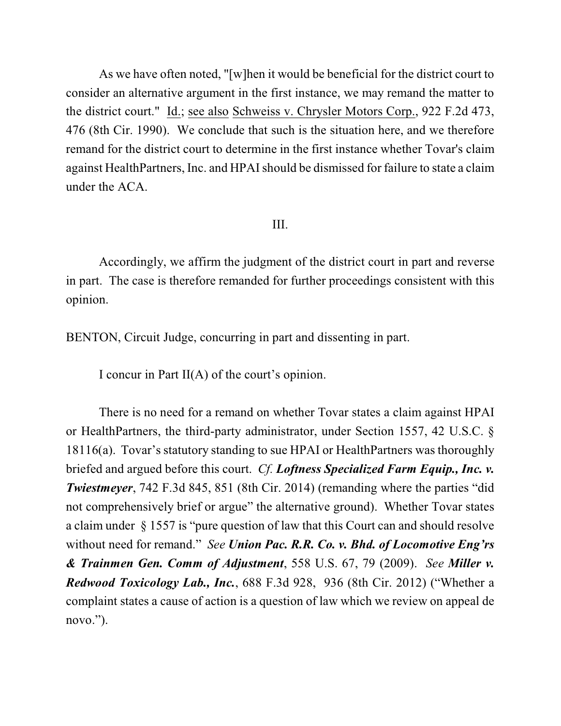As we have often noted, "[w]hen it would be beneficial for the district court to consider an alternative argument in the first instance, we may remand the matter to the district court." Id.; see also Schweiss v. Chrysler Motors Corp., 922 F.2d 473, 476 (8th Cir. 1990). We conclude that such is the situation here, and we therefore remand for the district court to determine in the first instance whether Tovar's claim against HealthPartners, Inc. and HPAI should be dismissed for failure to state a claim under the ACA.

## III.

Accordingly, we affirm the judgment of the district court in part and reverse in part. The case is therefore remanded for further proceedings consistent with this opinion.

BENTON, Circuit Judge, concurring in part and dissenting in part.

I concur in Part II(A) of the court's opinion.

There is no need for a remand on whether Tovar states a claim against HPAI or HealthPartners, the third-party administrator, under Section 1557, 42 U.S.C. § 18116(a). Tovar's statutory standing to sue HPAI or HealthPartners was thoroughly briefed and argued before this court. *Cf. Loftness Specialized Farm Equip., Inc. v. Twiestmeyer*, 742 F.3d 845, 851 (8th Cir. 2014) (remanding where the parties "did not comprehensively brief or argue" the alternative ground). Whether Tovar states a claim under § 1557 is "pure question of law that this Court can and should resolve without need for remand." *See Union Pac. R.R. Co. v. Bhd. of Locomotive Eng'rs & Trainmen Gen. Comm of Adjustment*, 558 U.S. 67, 79 (2009). *See Miller v. Redwood Toxicology Lab., Inc.*, 688 F.3d 928, 936 (8th Cir. 2012) ("Whether a complaint states a cause of action is a question of law which we review on appeal de novo.").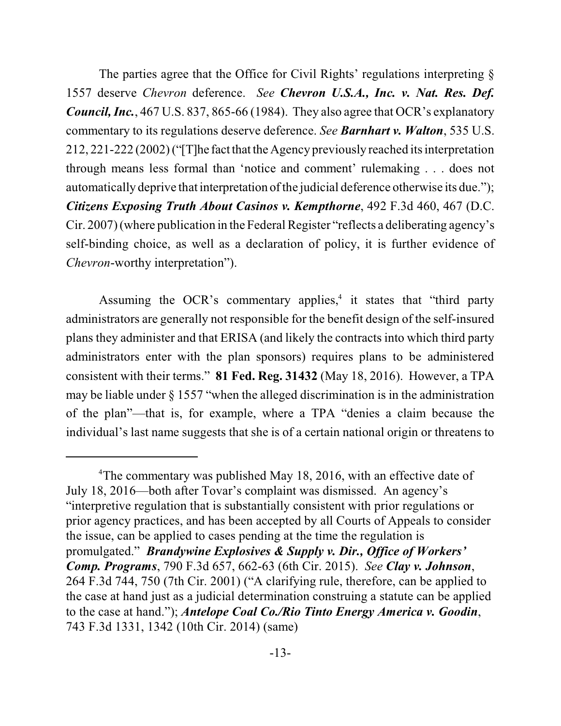The parties agree that the Office for Civil Rights' regulations interpreting  $\S$ 1557 deserve *Chevron* deference. *See Chevron U.S.A., Inc. v. Nat. Res. Def. Council, Inc.*, 467 U.S. 837, 865-66 (1984). They also agree that OCR's explanatory commentary to its regulations deserve deference. *See Barnhart v. Walton*, 535 U.S. 212, 221-222 (2002)("[T]he factthat the Agency previously reached its interpretation through means less formal than 'notice and comment' rulemaking . . . does not automatically deprive that interpretation of the judicial deference otherwise its due."); *Citizens Exposing Truth About Casinos v. Kempthorne*, 492 F.3d 460, 467 (D.C. Cir. 2007) (where publication in the Federal Register "reflects a deliberating agency's self-binding choice, as well as a declaration of policy, it is further evidence of *Chevron*-worthy interpretation").

Assuming the OCR's commentary applies, $4$  it states that "third party administrators are generally not responsible for the benefit design of the self-insured plans they administer and that ERISA (and likely the contracts into which third party administrators enter with the plan sponsors) requires plans to be administered consistent with their terms." **81 Fed. Reg. 31432** (May 18, 2016). However, a TPA may be liable under  $\S 1557$  "when the alleged discrimination is in the administration of the plan"—that is, for example, where a TPA "denies a claim because the individual's last name suggests that she is of a certain national origin or threatens to

 $4$ The commentary was published May 18, 2016, with an effective date of July 18, 2016—both after Tovar's complaint was dismissed. An agency's "interpretive regulation that is substantially consistent with prior regulations or prior agency practices, and has been accepted by all Courts of Appeals to consider the issue, can be applied to cases pending at the time the regulation is promulgated." *Brandywine Explosives & Supply v. Dir., Office of Workers' Comp. Programs*, 790 F.3d 657, 662-63 (6th Cir. 2015). *See Clay v. Johnson*, 264 F.3d 744, 750 (7th Cir. 2001) ("A clarifying rule, therefore, can be applied to the case at hand just as a judicial determination construing a statute can be applied to the case at hand."); *Antelope Coal Co./Rio Tinto Energy America v. Goodin*, 743 F.3d 1331, 1342 (10th Cir. 2014) (same)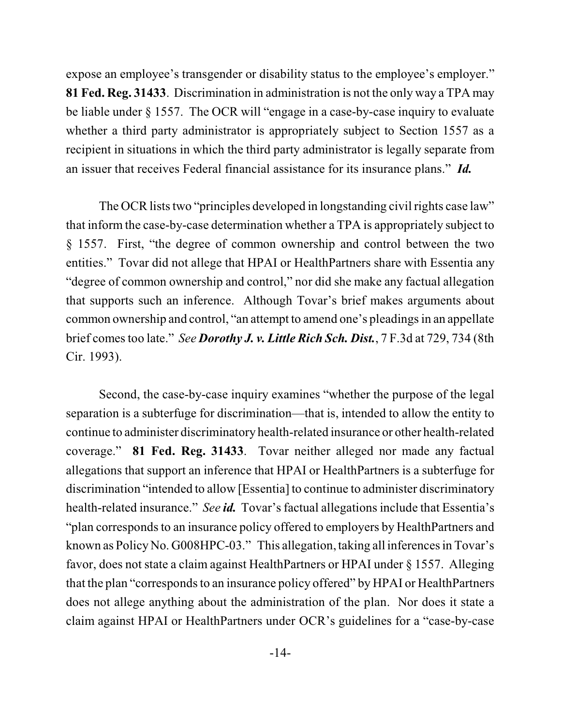expose an employee's transgender or disability status to the employee's employer." **81 Fed. Reg. 31433**. Discrimination in administration is not the only way a TPA may be liable under § 1557. The OCR will "engage in a case-by-case inquiry to evaluate whether a third party administrator is appropriately subject to Section 1557 as a recipient in situations in which the third party administrator is legally separate from an issuer that receives Federal financial assistance for its insurance plans." *Id.* 

The OCR lists two "principles developed in longstanding civil rights case law" that inform the case-by-case determination whether a TPA is appropriately subject to § 1557. First, "the degree of common ownership and control between the two entities." Tovar did not allege that HPAI or HealthPartners share with Essentia any "degree of common ownership and control," nor did she make any factual allegation that supports such an inference. Although Tovar's brief makes arguments about common ownership and control, "an attempt to amend one's pleadings in an appellate brief comestoo late." *See Dorothy J. v. Little Rich Sch. Dist.*, 7 F.3d at 729, 734 (8th Cir. 1993).

Second, the case-by-case inquiry examines "whether the purpose of the legal separation is a subterfuge for discrimination—that is, intended to allow the entity to continue to administer discriminatory health-related insurance or other health-related coverage." **81 Fed. Reg. 31433**. Tovar neither alleged nor made any factual allegations that support an inference that HPAI or HealthPartners is a subterfuge for discrimination "intended to allow [Essentia] to continue to administer discriminatory health-related insurance." *See id.* Tovar's factual allegations include that Essentia's "plan corresponds to an insurance policy offered to employers by HealthPartners and known as Policy No. G008HPC-03." This allegation, taking all inferences in Tovar's favor, does not state a claim against HealthPartners or HPAI under § 1557. Alleging that the plan "corresponds to an insurance policy offered" by HPAI or HealthPartners does not allege anything about the administration of the plan. Nor does it state a claim against HPAI or HealthPartners under OCR's guidelines for a "case-by-case